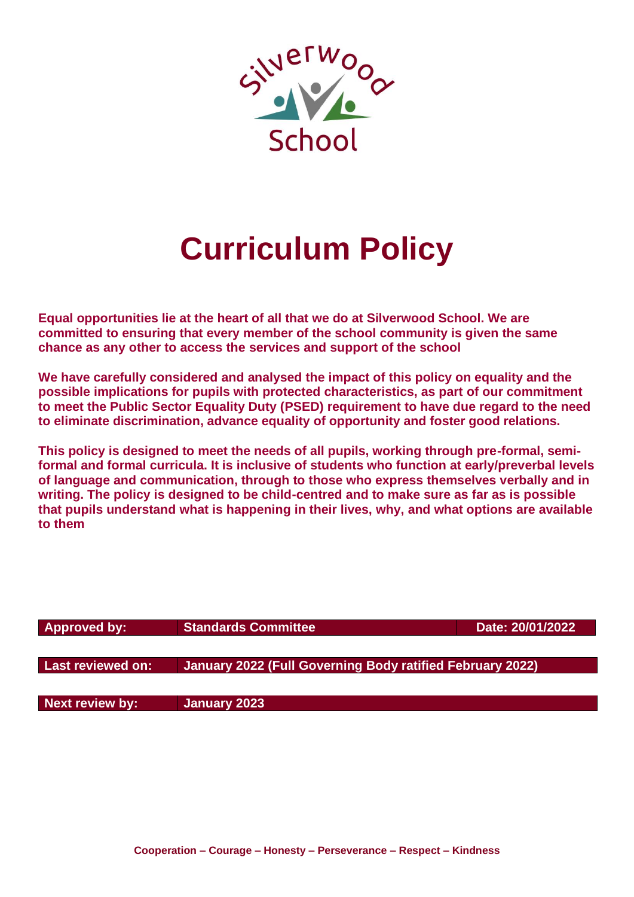

# **Curriculum Policy**

**Equal opportunities lie at the heart of all that we do at Silverwood School. We are committed to ensuring that every member of the school community is given the same chance as any other to access the services and support of the school**

**We have carefully considered and analysed the impact of this policy on equality and the possible implications for pupils with protected characteristics, as part of our commitment to meet the Public Sector Equality Duty (PSED) requirement to have due regard to the need to eliminate discrimination, advance equality of opportunity and foster good relations.**

**This policy is designed to meet the needs of all pupils, working through pre-formal, semiformal and formal curricula. It is inclusive of students who function at early/preverbal levels of language and communication, through to those who express themselves verbally and in writing. The policy is designed to be child-centred and to make sure as far as is possible that pupils understand what is happening in their lives, why, and what options are available to them**

| Approved by:           | <b>Standards Committee</b>                                | Date: 20/01/2022 |
|------------------------|-----------------------------------------------------------|------------------|
|                        |                                                           |                  |
| Last reviewed on:      | January 2022 (Full Governing Body ratified February 2022) |                  |
|                        |                                                           |                  |
| <b>Next review by:</b> | January 2023                                              |                  |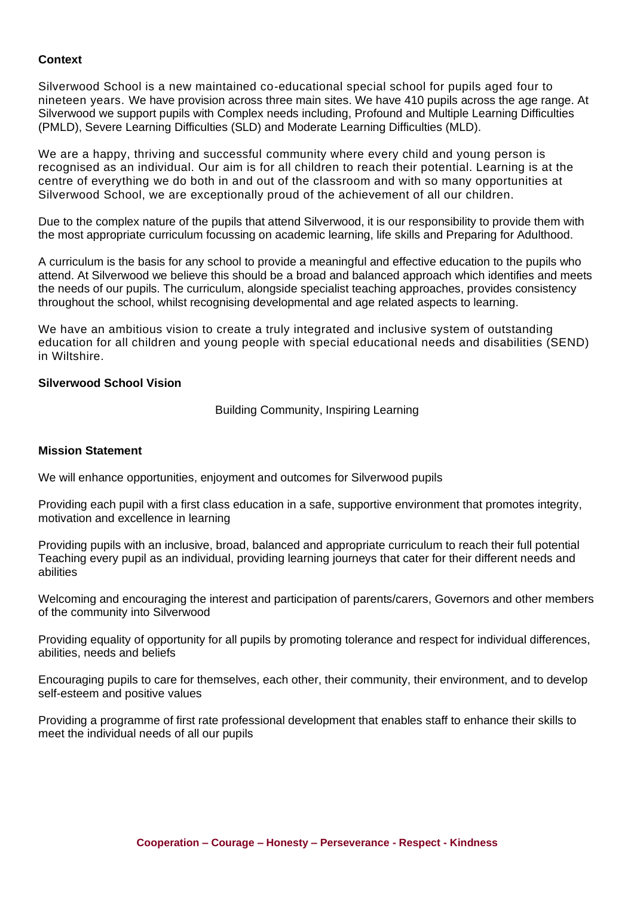# **Context**

Silverwood School is a new maintained co-educational special school for pupils aged four to nineteen years. We have provision across three main sites. We have 410 pupils across the age range. At Silverwood we support pupils with Complex needs including, Profound and Multiple Learning Difficulties (PMLD), Severe Learning Difficulties (SLD) and Moderate Learning Difficulties (MLD).

We are a happy, thriving and successful community where every child and young person is recognised as an individual. Our aim is for all children to reach their potential. Learning is at the centre of everything we do both in and out of the classroom and with so many opportunities at Silverwood School, we are exceptionally proud of the achievement of all our children.

Due to the complex nature of the pupils that attend Silverwood, it is our responsibility to provide them with the most appropriate curriculum focussing on academic learning, life skills and Preparing for Adulthood.

A curriculum is the basis for any school to provide a meaningful and effective education to the pupils who attend. At Silverwood we believe this should be a broad and balanced approach which identifies and meets the needs of our pupils. The curriculum, alongside specialist teaching approaches, provides consistency throughout the school, whilst recognising developmental and age related aspects to learning.

We have an ambitious vision to create a truly integrated and inclusive system of outstanding education for all children and young people with special educational needs and disabilities (SEND) in Wiltshire.

## **Silverwood School Vision**

Building Community, Inspiring Learning

#### **Mission Statement**

We will enhance opportunities, enjoyment and outcomes for Silverwood pupils

Providing each pupil with a first class education in a safe, supportive environment that promotes integrity, motivation and excellence in learning

Providing pupils with an inclusive, broad, balanced and appropriate curriculum to reach their full potential Teaching every pupil as an individual, providing learning journeys that cater for their different needs and abilities

Welcoming and encouraging the interest and participation of parents/carers, Governors and other members of the community into Silverwood

Providing equality of opportunity for all pupils by promoting tolerance and respect for individual differences, abilities, needs and beliefs

Encouraging pupils to care for themselves, each other, their community, their environment, and to develop self-esteem and positive values

Providing a programme of first rate professional development that enables staff to enhance their skills to meet the individual needs of all our pupils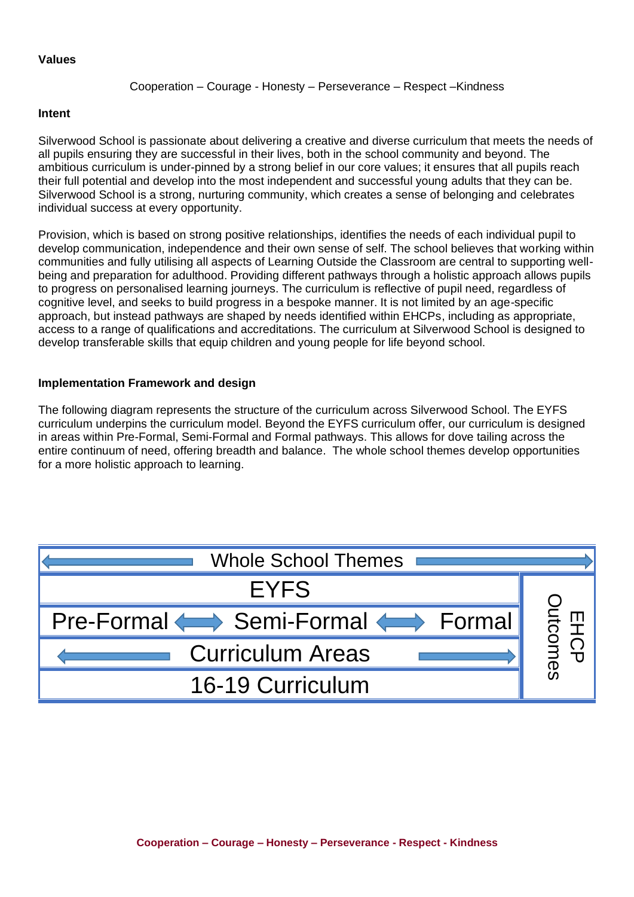#### **Values**

#### Cooperation – Courage - Honesty – Perseverance – Respect –Kindness

#### **Intent**

Silverwood School is passionate about delivering a creative and diverse curriculum that meets the needs of all pupils ensuring they are successful in their lives, both in the school community and beyond. The ambitious curriculum is under-pinned by a strong belief in our core values; it ensures that all pupils reach their full potential and develop into the most independent and successful young adults that they can be. Silverwood School is a strong, nurturing community, which creates a sense of belonging and celebrates individual success at every opportunity.

Provision, which is based on strong positive relationships, identifies the needs of each individual pupil to develop communication, independence and their own sense of self. The school believes that working within communities and fully utilising all aspects of Learning Outside the Classroom are central to supporting wellbeing and preparation for adulthood. Providing different pathways through a holistic approach allows pupils to progress on personalised learning journeys. The curriculum is reflective of pupil need, regardless of cognitive level, and seeks to build progress in a bespoke manner. It is not limited by an age-specific approach, but instead pathways are shaped by needs identified within EHCPs, including as appropriate, access to a range of qualifications and accreditations. The curriculum at Silverwood School is designed to develop transferable skills that equip children and young people for life beyond school.

## **Implementation Framework and design**

The following diagram represents the structure of the curriculum across Silverwood School. The EYFS curriculum underpins the curriculum model. Beyond the EYFS curriculum offer, our curriculum is designed in areas within Pre-Formal, Semi-Formal and Formal pathways. This allows for dove tailing across the entire continuum of need, offering breadth and balance. The whole school themes develop opportunities for a more holistic approach to learning.

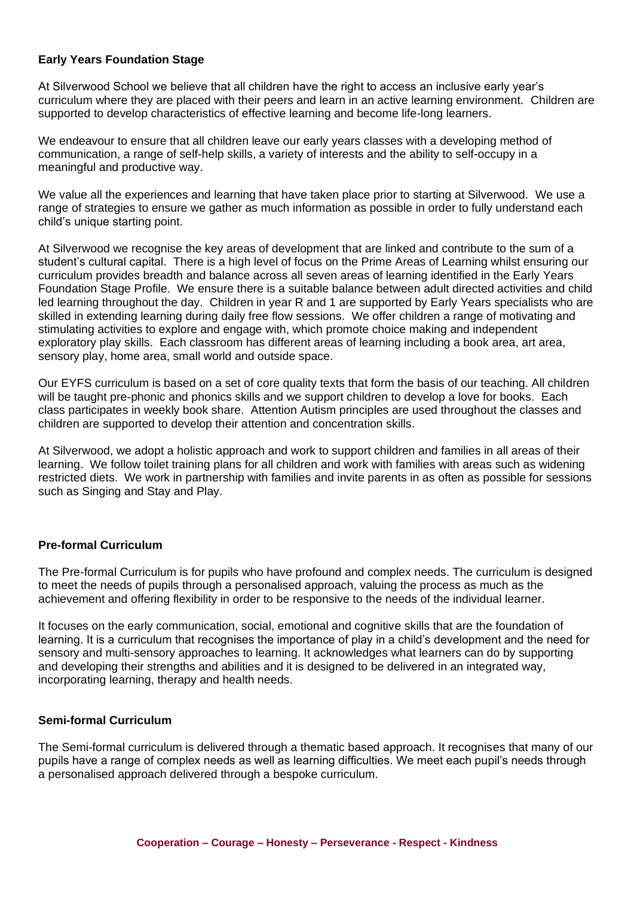# **Early Years Foundation Stage**

At Silverwood School we believe that all children have the right to access an inclusive early year's curriculum where they are placed with their peers and learn in an active learning environment. Children are supported to develop characteristics of effective learning and become life-long learners.

We endeavour to ensure that all children leave our early years classes with a developing method of communication, a range of self-help skills, a variety of interests and the ability to self-occupy in a meaningful and productive way.

We value all the experiences and learning that have taken place prior to starting at Silverwood. We use a range of strategies to ensure we gather as much information as possible in order to fully understand each child's unique starting point.

At Silverwood we recognise the key areas of development that are linked and contribute to the sum of a student's cultural capital. There is a high level of focus on the Prime Areas of Learning whilst ensuring our curriculum provides breadth and balance across all seven areas of learning identified in the Early Years Foundation Stage Profile. We ensure there is a suitable balance between adult directed activities and child led learning throughout the day. Children in year R and 1 are supported by Early Years specialists who are skilled in extending learning during daily free flow sessions. We offer children a range of motivating and stimulating activities to explore and engage with, which promote choice making and independent exploratory play skills. Each classroom has different areas of learning including a book area, art area, sensory play, home area, small world and outside space.

Our EYFS curriculum is based on a set of core quality texts that form the basis of our teaching. All children will be taught pre-phonic and phonics skills and we support children to develop a love for books. Each class participates in weekly book share. Attention Autism principles are used throughout the classes and children are supported to develop their attention and concentration skills.

At Silverwood, we adopt a holistic approach and work to support children and families in all areas of their learning. We follow toilet training plans for all children and work with families with areas such as widening restricted diets. We work in partnership with families and invite parents in as often as possible for sessions such as Singing and Stay and Play.

## **Pre-formal Curriculum**

The Pre-formal Curriculum is for pupils who have profound and complex needs. The curriculum is designed to meet the needs of pupils through a personalised approach, valuing the process as much as the achievement and offering flexibility in order to be responsive to the needs of the individual learner.

It focuses on the early communication, social, emotional and cognitive skills that are the foundation of learning. It is a curriculum that recognises the importance of play in a child's development and the need for sensory and multi-sensory approaches to learning. It acknowledges what learners can do by supporting and developing their strengths and abilities and it is designed to be delivered in an integrated way, incorporating learning, therapy and health needs.

## **Semi-formal Curriculum**

The Semi-formal curriculum is delivered through a thematic based approach. It recognises that many of our pupils have a range of complex needs as well as learning difficulties. We meet each pupil's needs through a personalised approach delivered through a bespoke curriculum.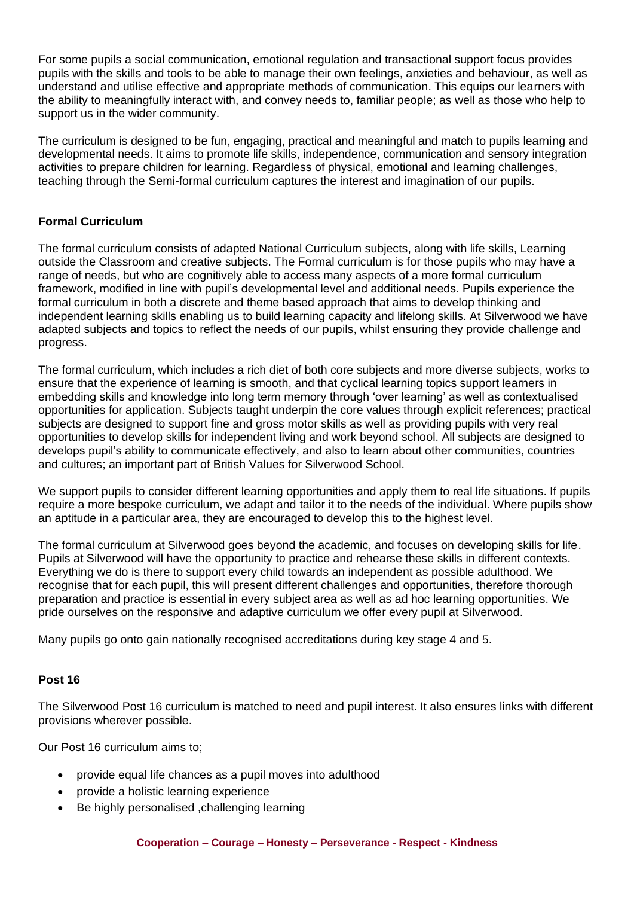For some pupils a social communication, emotional regulation and transactional support focus provides pupils with the skills and tools to be able to manage their own feelings, anxieties and behaviour, as well as understand and utilise effective and appropriate methods of communication. This equips our learners with the ability to meaningfully interact with, and convey needs to, familiar people; as well as those who help to support us in the wider community.

The curriculum is designed to be fun, engaging, practical and meaningful and match to pupils learning and developmental needs. It aims to promote life skills, independence, communication and sensory integration activities to prepare children for learning. Regardless of physical, emotional and learning challenges, teaching through the Semi-formal curriculum captures the interest and imagination of our pupils.

# **Formal Curriculum**

The formal curriculum consists of adapted National Curriculum subjects, along with life skills, Learning outside the Classroom and creative subjects. The Formal curriculum is for those pupils who may have a range of needs, but who are cognitively able to access many aspects of a more formal curriculum framework, modified in line with pupil's developmental level and additional needs. Pupils experience the formal curriculum in both a discrete and theme based approach that aims to develop thinking and independent learning skills enabling us to build learning capacity and lifelong skills. At Silverwood we have adapted subjects and topics to reflect the needs of our pupils, whilst ensuring they provide challenge and progress.

The formal curriculum, which includes a rich diet of both core subjects and more diverse subjects, works to ensure that the experience of learning is smooth, and that cyclical learning topics support learners in embedding skills and knowledge into long term memory through 'over learning' as well as contextualised opportunities for application. Subjects taught underpin the core values through explicit references; practical subjects are designed to support fine and gross motor skills as well as providing pupils with very real opportunities to develop skills for independent living and work beyond school. All subjects are designed to develops pupil's ability to communicate effectively, and also to learn about other communities, countries and cultures; an important part of British Values for Silverwood School.

We support pupils to consider different learning opportunities and apply them to real life situations. If pupils require a more bespoke curriculum, we adapt and tailor it to the needs of the individual. Where pupils show an aptitude in a particular area, they are encouraged to develop this to the highest level.

The formal curriculum at Silverwood goes beyond the academic, and focuses on developing skills for life. Pupils at Silverwood will have the opportunity to practice and rehearse these skills in different contexts. Everything we do is there to support every child towards an independent as possible adulthood. We recognise that for each pupil, this will present different challenges and opportunities, therefore thorough preparation and practice is essential in every subject area as well as ad hoc learning opportunities. We pride ourselves on the responsive and adaptive curriculum we offer every pupil at Silverwood.

Many pupils go onto gain nationally recognised accreditations during key stage 4 and 5.

## **Post 16**

The Silverwood Post 16 curriculum is matched to need and pupil interest. It also ensures links with different provisions wherever possible.

Our Post 16 curriculum aims to;

- provide equal life chances as a pupil moves into adulthood
- provide a holistic learning experience
- Be highly personalised ,challenging learning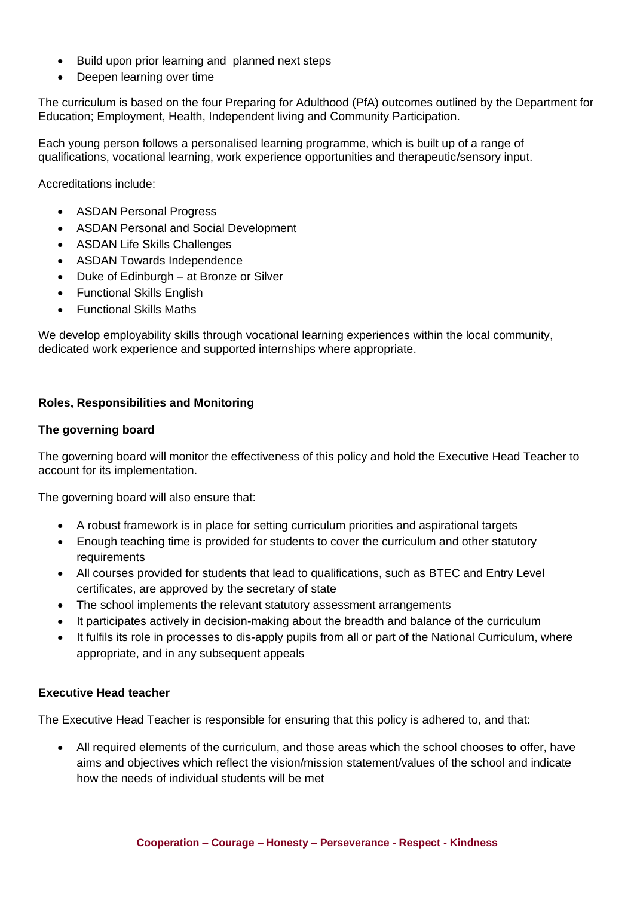- Build upon prior learning and planned next steps
- Deepen learning over time

The curriculum is based on the four Preparing for Adulthood (PfA) outcomes outlined by the Department for Education; Employment, Health, Independent living and Community Participation.

Each young person follows a personalised learning programme, which is built up of a range of qualifications, vocational learning, work experience opportunities and therapeutic/sensory input.

Accreditations include:

- ASDAN Personal Progress
- ASDAN Personal and Social Development
- ASDAN Life Skills Challenges
- ASDAN Towards Independence
- Duke of Edinburgh at Bronze or Silver
- Functional Skills English
- Functional Skills Maths

We develop employability skills through vocational learning experiences within the local community, dedicated work experience and supported internships where appropriate.

## **Roles, Responsibilities and Monitoring**

#### **The governing board**

The governing board will monitor the effectiveness of this policy and hold the Executive Head Teacher to account for its implementation.

The governing board will also ensure that:

- A robust framework is in place for setting curriculum priorities and aspirational targets
- Enough teaching time is provided for students to cover the curriculum and other statutory requirements
- All courses provided for students that lead to qualifications, such as BTEC and Entry Level certificates, are approved by the secretary of state
- The school implements the relevant statutory assessment arrangements
- It participates actively in decision-making about the breadth and balance of the curriculum
- It fulfils its role in processes to dis-apply pupils from all or part of the National Curriculum, where appropriate, and in any subsequent appeals

## **Executive Head teacher**

The Executive Head Teacher is responsible for ensuring that this policy is adhered to, and that:

• All required elements of the curriculum, and those areas which the school chooses to offer, have aims and objectives which reflect the vision/mission statement/values of the school and indicate how the needs of individual students will be met